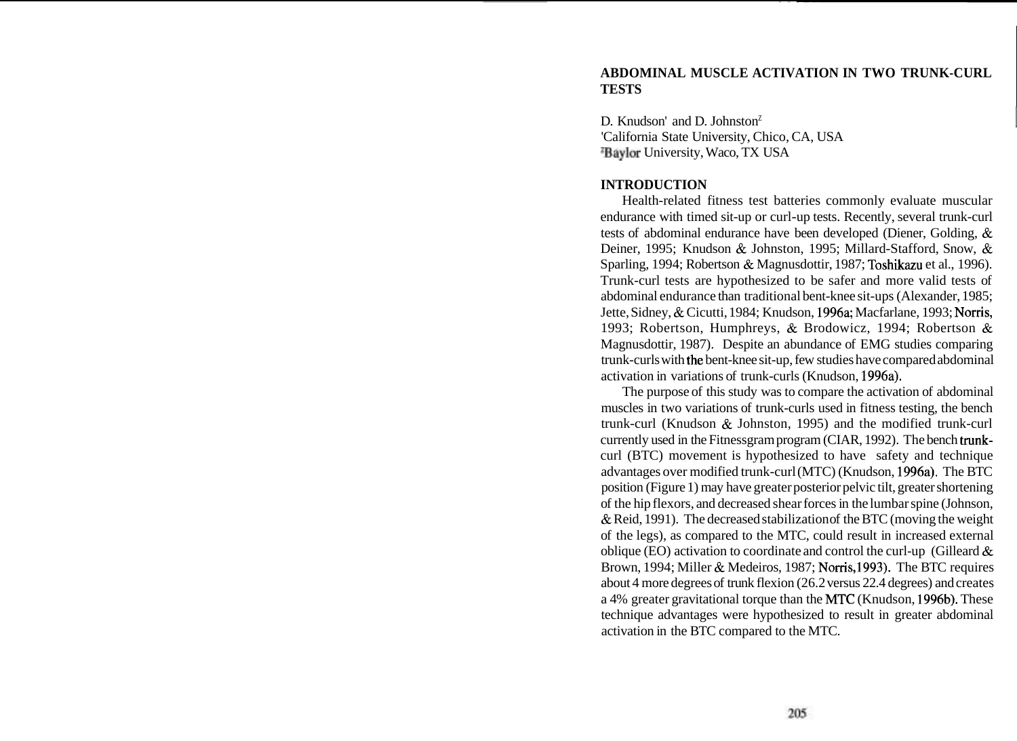# **ABDOMINAL MUSCLE ACTIVATION IN TWO TRUNK-CURL TESTS**

D. Knudson' and D. Johnston<sup>Z</sup> 'California State University, Chico, CA, USA zBaylor University, Waco, TX USA

#### **INTRODUCTION**

Health-related fitness test batteries commonly evaluate muscular endurance with timed sit-up or curl-up tests. Recently, several trunk-curl tests of abdominal endurance have been developed (Diener, Golding, & Deiner, 1995; Knudson & Johnston, 1995; Millard-Stafford, Snow, & Sparling, 1994; Robertson & Magnusdottir, 1987; Toshikazu et al., 1996). Trunk-curl tests are hypothesized to be safer and more valid tests of abdominal endurance than traditional bent-knee sit-ups (Alexander, 1985; Jette, Sidney, & Cicutti, 1984; Knudson, 1996a; Macfarlane, 1993; Norris, 1993; Robertson, Humphreys, & Brodowicz, 1994; Robertson & Magnusdottir, 1987). Despite an abundance of EMG studies comparing trunk-curls with the bent-knee sit-up, few studies have compared abdominal activation in variations of trunk-curls (Knudson, 1996a).

The purpose of this study was to compare the activation of abdominal muscles in two variations of trunk-curls used in fitness testing, the bench trunk-curl (Knudson & Johnston, 1995) and the modified trunk-curl currently used in the Fitnessgram program (CIAR, 1992). The bench trunkcurl (BTC) movement is hypothesized to have safety and technique advantages over modified trunk-curl (MTC) (Knudson, 1996a). The BTC position (Figure 1) may have greater posterior pelvic tilt, greater shortening of the hip flexors, and decreased shear forces in the lumbar spine (Johnson, & Reid, 1991). The decreased stabilization of the BTC (moving the weight of the legs), as compared to the MTC, could result in increased external oblique (EO) activation to coordinate and control the curl-up (Gilleard  $\&$ Brown, 1994; Miller & Medeiros, 1987; Norris,1993). The BTC requires about 4 more degrees of trunk flexion (26.2 versus 22.4 degrees) and creates a 4% greater gravitational torque than the MTC (Knudson, 1996b). These technique advantages were hypothesized to result in greater abdominal activation in the BTC compared to the MTC.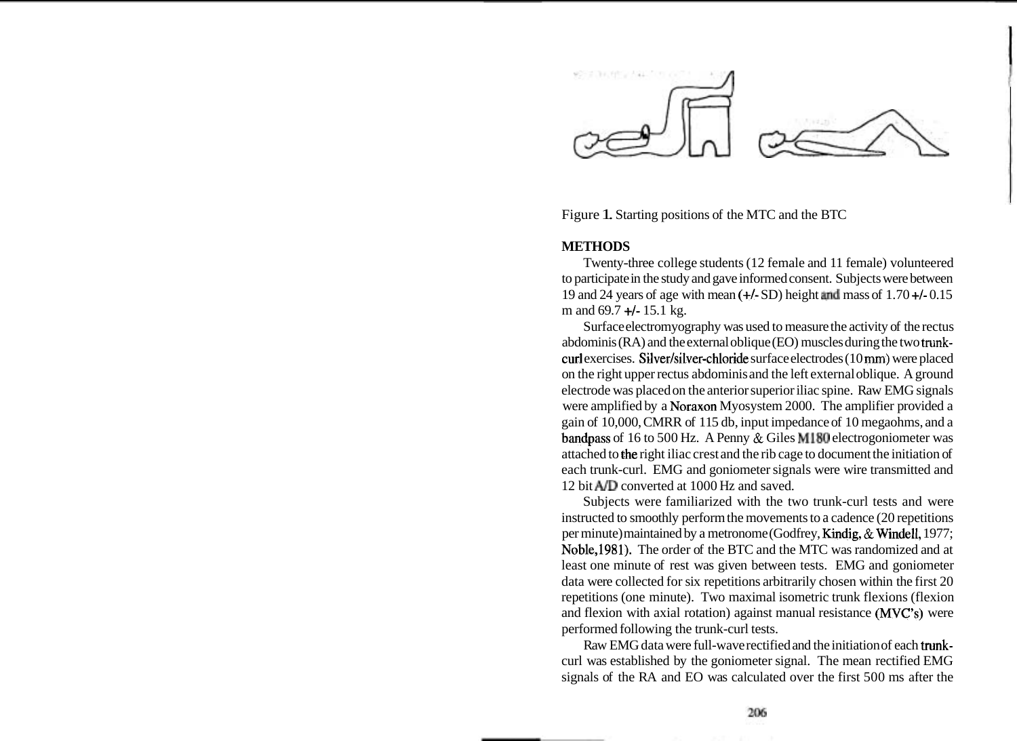

Figure 1. Starting positions of the MTC and the BTC

## **METHODS**

Twenty-three college students (12 female and 11 female) volunteered to participate in the study and gave informed consent. Subjects were between 19 and 24 years of age with mean  $(+/- SD)$  height and mass of  $1.70 +/-0.15$ m and  $69.7 + 15.1$  kg.

Surface electromyography was used to measure the activity of the rectus abdominis (RA) and the external oblique (EO) muscles during the two **tnmk**curl exercises. Silver/silver-chloride surface electrodes (10 mm) were placed on the right upper rectus abdominis and the left external oblique. A ground electrode was placed on the anterior superior iliac spine. Raw EMG signals were amplified by a Noraxon Myosystem 2000. The amplifier provided a gain of 10,000, CMRR of 115 db, input impedance of 10 megaohms, and a bandpass of 16 to 500 Hz. A Penny & Giles MI80 electrogoniometer was attached to the right iliac crest and the rib cage to document the initiation of each trunk-curl. EMG and goniometer signals were wire transmitted and 12 bit **AID** converted at 1000 Hz and saved.

Subjects were familiarized with the two trunk-curl tests and were instructed to smoothly perform the movements to a cadence (20 repetitions per minute) maintained by a metronome (Godfrey, Kindig, & Windell, 1977; Noble,1981). The order of the BTC and the MTC was randomized and at least one minute of rest was given between tests. EMG and goniometer data were collected for six repetitions arbitrarily chosen within the first 20 repetitions (one minute). Two maximal isometric trunk flexions (flexion and flexion with axial rotation) against manual resistance (MVC's) were performed following the trunk-curl tests.

Raw EMG data were full-wave rectified and the initiation of each trunkcurl was established by the goniometer signal. The mean rectified EMG signals of the RA and EO was calculated over the first 500 ms after the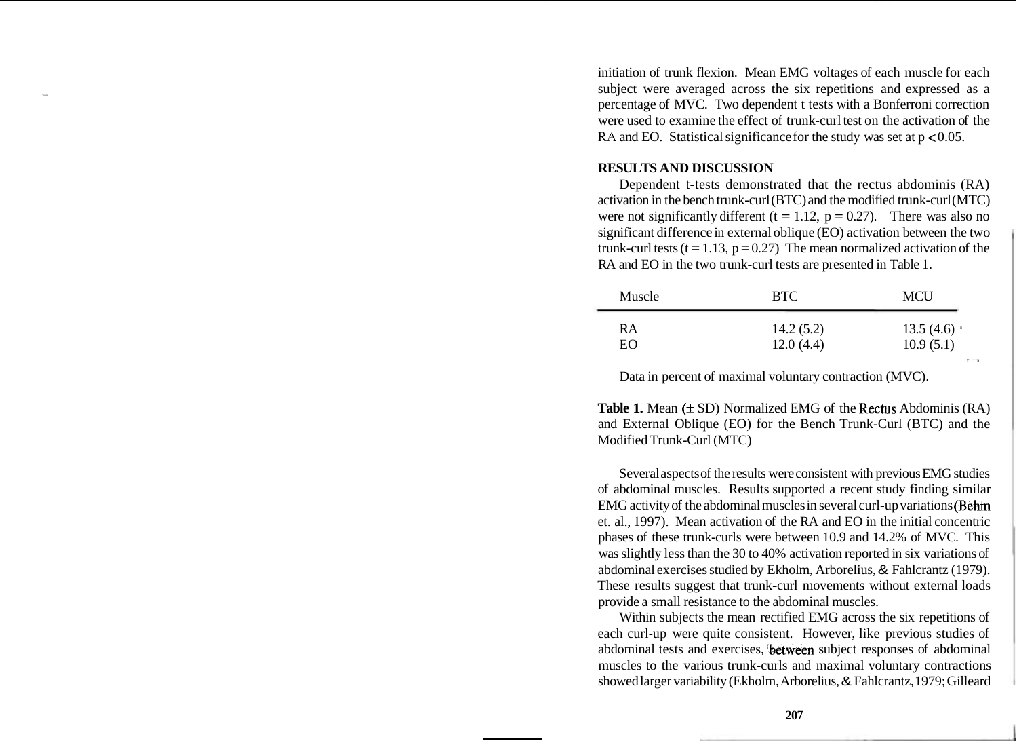initiation of trunk flexion. Mean EMG voltages of each muscle for each subject were averaged across the six repetitions and expressed as a percentage of MVC. Two dependent t tests with a Bonferroni correction were used to examine the effect of trunk-curl test on the activation of the RA and EO. Statistical significance for the study was set at  $p < 0.05$ .

#### **RESULTS AND DISCUSSION**

Dependent t-tests demonstrated that the rectus abdominis (RA) activation in the bench trunk-curl (BTC) and the modified trunk-curl (MTC) were not significantly different ( $t = 1.12$ ,  $p = 0.27$ ). There was also no significant difference in external oblique (EO) activation between the two trunk-curl tests ( $t = 1.13$ ,  $p = 0.27$ ) The mean normalized activation of the RA and EO in the two trunk-curl tests are presented in Table 1.

| Muscle   | <b>BTC</b>             | <b>MCU</b>             |
|----------|------------------------|------------------------|
| RA<br>EΩ | 14.2(5.2)<br>12.0(4.4) | 13.5(4.6)<br>10.9(5.1) |
|          |                        |                        |

Data in percent of maximal voluntary contraction (MVC).

**Table 1.** Mean ( $\pm$  SD) Normalized EMG of the Rectus Abdominis (RA) and External Oblique (EO) for the Bench Trunk-Curl (BTC) and the Modified Trunk-Curl (MTC)

Several aspects of the results were consistent with previous EMG studies of abdominal muscles. Results supported a recent study finding similar EMG activity of the abdominal muscles in several curl-up variations (Behm et. al., 1997). Mean activation of the RA and EO in the initial concentric phases of these trunk-curls were between 10.9 and 14.2% of MVC. This was slightly less than the 30 to 40% activation reported in six variations of abdominal exercises studied by Ekholm, Arborelius, & Fahlcrantz (1979). These results suggest that trunk-curl movements without external loads provide a small resistance to the abdominal muscles.

Within subjects the mean rectified EMG across the six repetitions of each curl-up were quite consistent. However, like previous studies of abdominal tests and exercises, between subject responses of abdominal muscles to the various trunk-curls and maximal voluntary contractions showed larger variability (Ekholm, Arborelius, & Fahlcrantz, 1979; Gilleard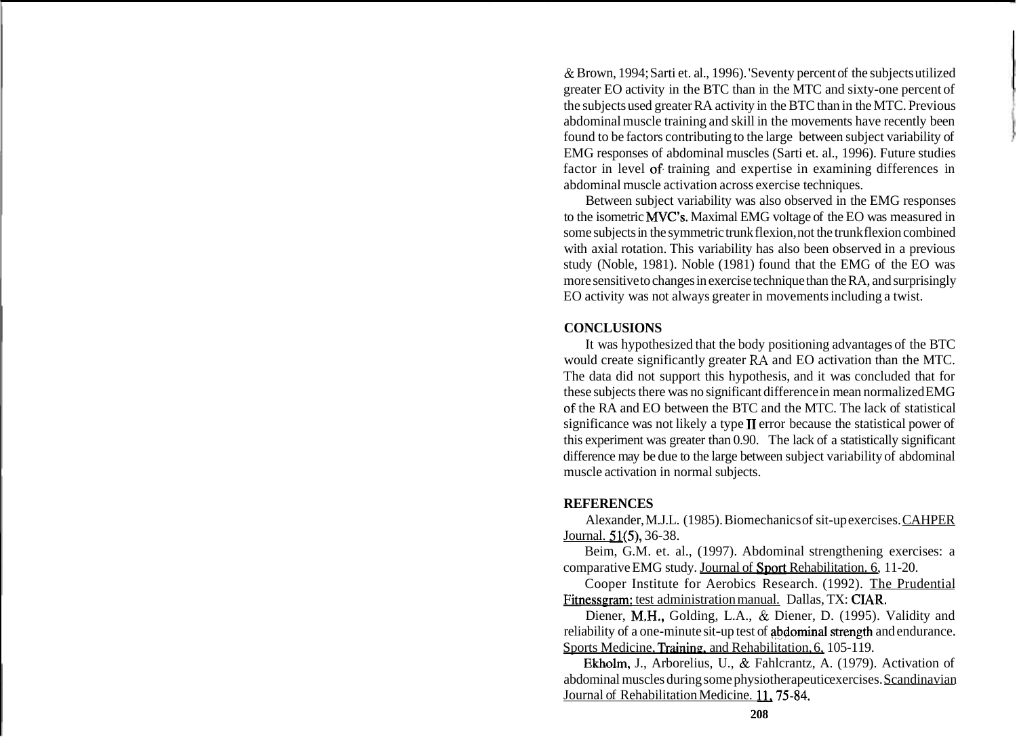& Brown, 1994; Sarti et. al., 1996). 'Seventy percent of the subjects utilized greater EO activity in the BTC than in the MTC and sixty-one percent of the subjects used greater RA activity in the BTC than in the MTC. Previous abdominal muscle training and skill in the movements have recently been found to be factors contributing to the large between subject variability of EMG responses of abdominal muscles (Sarti et. al., 1996). Future studies factor in level of training and expertise in examining differences in abdominal muscle activation across exercise techniques.

Between subject variability was also observed in the EMG responses to the isometric MVC's. Maximal EMG voltage of the EO was measured in some subjects in the symmetric trunk flexion, not the trunk flexion combined with axial rotation. This variability has also been observed in a previous study (Noble, 1981). Noble (1981) found that the EMG of the EO was more sensitive to changes in exercise technique than the RA, and surprisingly EO activity was not always greater in movements including a twist.

# **CONCLUSIONS**

It was hypothesized that the body positioning advantages of the BTC would create significantly greater **RA** and EO activation than the MTC. The data did not support this hypothesis, and it was concluded that for these subjects there was no significant difference in mean normalized EMG of: the RA and EO between the BTC and the MTC. The lack of statistical significance was not likely a type I1 error because the statistical power of this experiment was greater than 0.90. The lack of a statistically significant difference may be due to the large between subject variability of abdominal muscle activation in normal subjects.

### **REFERENCES**

Alexander, M.J.L. (1985). Biomechanics of sit-up exercises. CAHPER Journal. **51(5)**, 36-38.

Beim, G.M. et. al., (1997). Abdominal strengthening exercises: a comparative EMG study. Journal of Sport Rehabilitation. 6, 11-20.

Cooper Institute for Aerobics Research. (1992). The Prudential Fitnessgram: test administration manual. Dallas, TX: CIAR.

Diener, M.H., Golding, L.A., & Diener, D. (1995). Validity and reliability of a one-minute sit-up test of abdominal strength and endurance. Sports Medicine, Training, and Rehabilitation, 6, 105-119.

Ekbolm, J., Arborelius, U., & Fahlcrantz, A. (1979). Activation of abdominal muscles during some physiotherapeutic exercises. Scandinavian Journal of Rehabilitation Medicine. 11,75-84.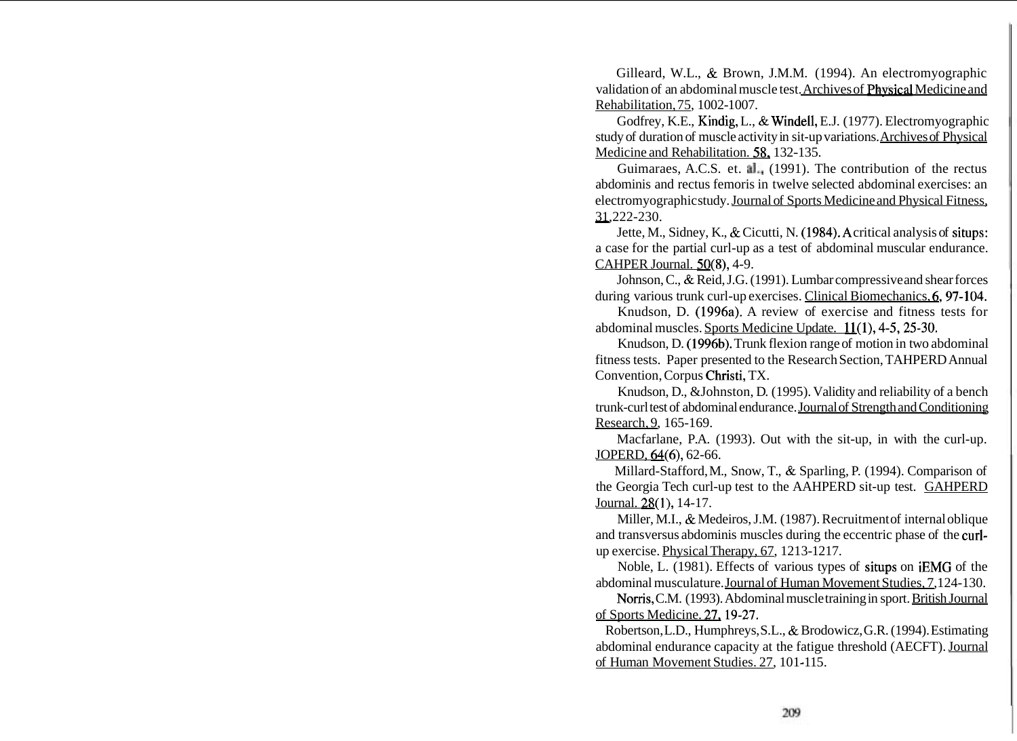Gilleard, W.L., & Brown, J.M.M. (1994). An electromyographic validation of an abdominal muscle test. Archives of Phvsical Medicine and Rehabilitation, 75, 1002-1007.

Godfrey, K.E., Kindig, L., & Windell, E.J. (1977). Electromyographic study of duration of muscle activity in sit-up variations. Archives of Physical Medicine and Rehabilitation. 58, 132-135.

Guimaraes, A.C.S. et. a]., (1991). The contribution of the rectus abdominis and rectus femoris in twelve selected abdominal exercises: an electromyographic study. Journal of Sports Medicine and Physical Fitness, abdominis an<br>electromyogi<br>31,222-230.

Jette, M., Sidney, K., & Cicutti, N. (1984).A critical analysis of situps: a case for the partial curl-up as a test of abdominal muscular endurance. CAHPER Journal. 50(8), 4-9.

Johnson, C., & Reid, J.G. (1991). Lumbar compressive and shear forces during various trunk curl-up exercises. Clinical Biomechanics, 6, 97-104.

Knudson, D. (1996a). A review of exercise and fitness tests for abdominal muscles. Sports Medicine Update. 11(1), 4-5,25-30.

Knudson, D. (1996b). Trunk flexion range of motion in two abdominal fitness tests. Paper presented to the Research Section, TAHPERD Annual Convention, Corpus Christi, TX.

Knudson, D., &Johnston, D. (1995). Validity and reliability of a bench trunk-curl test of abdominal endurance. Journal of Strength and Conditioning Research, 9, 165-169.

Macfarlane, P.A. (1993). Out with the sit-up, in with the curl-up. JOPERD, 64(6), 62-66.

Millard-Stafford, M., Snow, T., & Sparling, P. (1994). Comparison of the Georgia Tech curl-up test to the AAHPERD sit-up test. GAHPERD Journal. 28(1), 14-17.

Miller, M.I., & Medeiros, J.M. (1987). Recruitment of internal oblique and transversus abdominis muscles during the eccentric phase of the curlup exercise. Physical Therapy, 67, 1213-1217.

Noble, L. (1981). Effects of various types of situps on iEMG of the abdominal musculature. Journal of Human Movement Studies, 7,124-130.

Norris, C.M. (1993). Abdominal muscle training in sport. British Journal of Sports Medicine. 27,19-27.

Robertson, L.D., Humphreys, S.L., & Brodowicz, G.R. (1994). Estimating abdominal endurance capacity at the fatigue threshold (AECFT). Journal of Human Movement Studies. 27, 101-115.